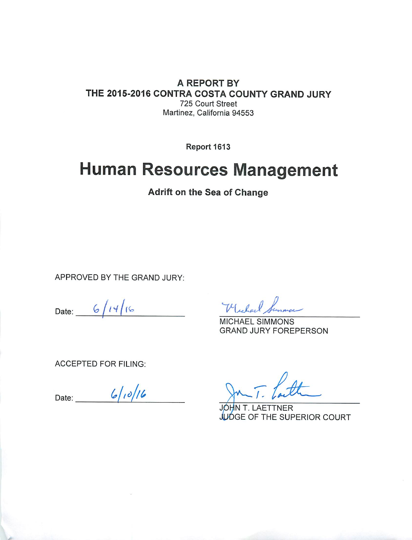#### A REPORT BY THE 2015-2016 CONTRA COSTA COUNTY GRAND JURY 725 Court Street Martinez, California 94553

Report 1613

# **Human Resources Management**

Adrift on the Sea of Change

APPROVED BY THE GRAND JURY:

Date:  $6/14/16$ 

Wichael Summon

**MICHAEL SIMMONS GRAND JURY FOREPERSON** 

**ACCEPTED FOR FILING:** 

Date:  $6/10/16$ 

JÓHN T. LAETTNER JUDGE OF THE SUPERIOR COURT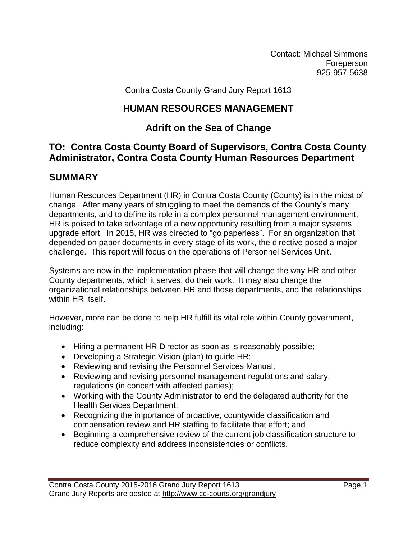Contact: Michael Simmons Foreperson 925-957-5638

Contra Costa County Grand Jury Report 1613

## **HUMAN RESOURCES MANAGEMENT**

# **Adrift on the Sea of Change**

## **TO: Contra Costa County Board of Supervisors, Contra Costa County Administrator, Contra Costa County Human Resources Department**

# **SUMMARY**

Human Resources Department (HR) in Contra Costa County (County) is in the midst of change. After many years of struggling to meet the demands of the County's many departments, and to define its role in a complex personnel management environment, HR is poised to take advantage of a new opportunity resulting from a major systems upgrade effort. In 2015, HR was directed to "go paperless". For an organization that depended on paper documents in every stage of its work, the directive posed a major challenge. This report will focus on the operations of Personnel Services Unit.

Systems are now in the implementation phase that will change the way HR and other County departments, which it serves, do their work. It may also change the organizational relationships between HR and those departments, and the relationships within HR itself.

However, more can be done to help HR fulfill its vital role within County government, including:

- Hiring a permanent HR Director as soon as is reasonably possible;
- Developing a Strategic Vision (plan) to guide HR;
- Reviewing and revising the Personnel Services Manual;
- Reviewing and revising personnel management regulations and salary; regulations (in concert with affected parties);
- Working with the County Administrator to end the delegated authority for the Health Services Department;
- Recognizing the importance of proactive, countywide classification and compensation review and HR staffing to facilitate that effort; and
- Beginning a comprehensive review of the current job classification structure to reduce complexity and address inconsistencies or conflicts.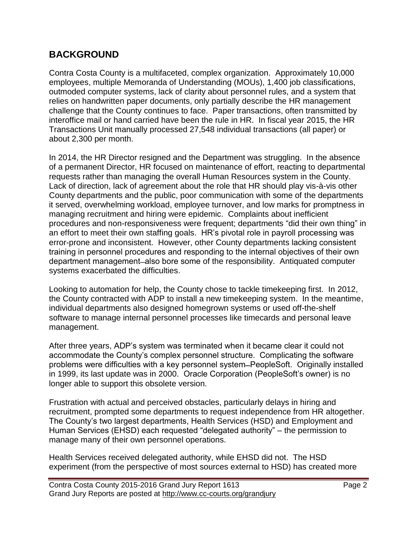# **BACKGROUND**

Contra Costa County is a multifaceted, complex organization. Approximately 10,000 employees, multiple Memoranda of Understanding (MOUs), 1,400 job classifications, outmoded computer systems, lack of clarity about personnel rules, and a system that relies on handwritten paper documents, only partially describe the HR management challenge that the County continues to face. Paper transactions, often transmitted by interoffice mail or hand carried have been the rule in HR. In fiscal year 2015, the HR Transactions Unit manually processed 27,548 individual transactions (all paper) or about 2,300 per month.

In 2014, the HR Director resigned and the Department was struggling. In the absence of a permanent Director, HR focused on maintenance of effort, reacting to departmental requests rather than managing the overall Human Resources system in the County. Lack of direction, lack of agreement about the role that HR should play vis-à-vis other County departments and the public, poor communication with some of the departments it served, overwhelming workload, employee turnover, and low marks for promptness in managing recruitment and hiring were epidemic. Complaints about inefficient procedures and non-responsiveness were frequent; departments "did their own thing" in an effort to meet their own staffing goals. HR's pivotal role in payroll processing was error-prone and inconsistent. However, other County departments lacking consistent training in personnel procedures and responding to the internal objectives of their own department management—also bore some of the responsibility. Antiquated computer systems exacerbated the difficulties.

Looking to automation for help, the County chose to tackle timekeeping first. In 2012, the County contracted with ADP to install a new timekeeping system. In the meantime, individual departments also designed homegrown systems or used off-the-shelf software to manage internal personnel processes like timecards and personal leave management.

After three years, ADP's system was terminated when it became clear it could not accommodate the County's complex personnel structure. Complicating the software problems were difficulties with a key personnel system ̶ PeopleSoft. Originally installed in 1999, its last update was in 2000. Oracle Corporation (PeopleSoft's owner) is no longer able to support this obsolete version.

Frustration with actual and perceived obstacles, particularly delays in hiring and recruitment, prompted some departments to request independence from HR altogether. The County's two largest departments, Health Services (HSD) and Employment and Human Services (EHSD) each requested "delegated authority" – the permission to manage many of their own personnel operations.

Health Services received delegated authority, while EHSD did not. The HSD experiment (from the perspective of most sources external to HSD) has created more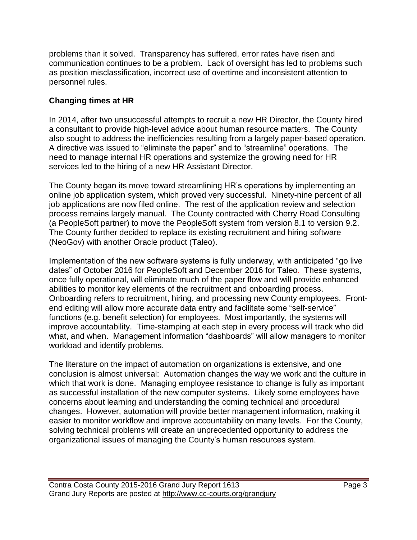problems than it solved. Transparency has suffered, error rates have risen and communication continues to be a problem. Lack of oversight has led to problems such as position misclassification, incorrect use of overtime and inconsistent attention to personnel rules.

## **Changing times at HR**

In 2014, after two unsuccessful attempts to recruit a new HR Director, the County hired a consultant to provide high-level advice about human resource matters. The County also sought to address the inefficiencies resulting from a largely paper-based operation. A directive was issued to "eliminate the paper" and to "streamline" operations. The need to manage internal HR operations and systemize the growing need for HR services led to the hiring of a new HR Assistant Director.

The County began its move toward streamlining HR's operations by implementing an online job application system, which proved very successful. Ninety-nine percent of all job applications are now filed online. The rest of the application review and selection process remains largely manual. The County contracted with Cherry Road Consulting (a PeopleSoft partner) to move the PeopleSoft system from version 8.1 to version 9.2. The County further decided to replace its existing recruitment and hiring software (NeoGov) with another Oracle product (Taleo).

Implementation of the new software systems is fully underway, with anticipated "go live dates" of October 2016 for PeopleSoft and December 2016 for Taleo. These systems, once fully operational, will eliminate much of the paper flow and will provide enhanced abilities to monitor key elements of the recruitment and onboarding process. Onboarding refers to recruitment, hiring, and processing new County employees. Frontend editing will allow more accurate data entry and facilitate some "self-service" functions (e.g. benefit selection) for employees. Most importantly, the systems will improve accountability. Time-stamping at each step in every process will track who did what, and when. Management information "dashboards" will allow managers to monitor workload and identify problems.

The literature on the impact of automation on organizations is extensive, and one conclusion is almost universal: Automation changes the way we work and the culture in which that work is done. Managing employee resistance to change is fully as important as successful installation of the new computer systems. Likely some employees have concerns about learning and understanding the coming technical and procedural changes. However, automation will provide better management information, making it easier to monitor workflow and improve accountability on many levels. For the County, solving technical problems will create an unprecedented opportunity to address the organizational issues of managing the County's human resources system.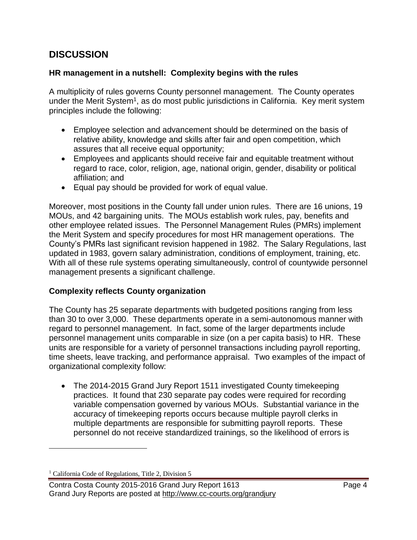# **DISCUSSION**

#### **HR management in a nutshell: Complexity begins with the rules**

A multiplicity of rules governs County personnel management. The County operates under the Merit System<sup>1</sup>, as do most public jurisdictions in California. Key merit system principles include the following:

- Employee selection and advancement should be determined on the basis of relative ability, knowledge and skills after fair and open competition, which assures that all receive equal opportunity;
- Employees and applicants should receive fair and equitable treatment without regard to race, color, religion, age, national origin, gender, disability or political affiliation; and
- Equal pay should be provided for work of equal value.

Moreover, most positions in the County fall under union rules. There are 16 unions, 19 MOUs, and 42 bargaining units. The MOUs establish work rules, pay, benefits and other employee related issues. The Personnel Management Rules (PMRs) implement the Merit System and specify procedures for most HR management operations. The County's PMRs last significant revision happened in 1982. The Salary Regulations, last updated in 1983, govern salary administration, conditions of employment, training, etc. With all of these rule systems operating simultaneously, control of countywide personnel management presents a significant challenge.

#### **Complexity reflects County organization**

The County has 25 separate departments with budgeted positions ranging from less than 30 to over 3,000. These departments operate in a semi-autonomous manner with regard to personnel management. In fact, some of the larger departments include personnel management units comparable in size (on a per capita basis) to HR. These units are responsible for a variety of personnel transactions including payroll reporting, time sheets, leave tracking, and performance appraisal. Two examples of the impact of organizational complexity follow:

• The 2014-2015 Grand Jury Report 1511 investigated County timekeeping practices. It found that 230 separate pay codes were required for recording variable compensation governed by various MOUs. Substantial variance in the accuracy of timekeeping reports occurs because multiple payroll clerks in multiple departments are responsible for submitting payroll reports. These personnel do not receive standardized trainings, so the likelihood of errors is

 $\overline{a}$ 

<sup>&</sup>lt;sup>1</sup> California Code of Regulations, Title 2, Division 5

Contra Costa County 2015-2016 Grand Jury Report 1613 **Page 4** Page 4 Grand Jury Reports are posted at http://www.cc-courts.org/grandjury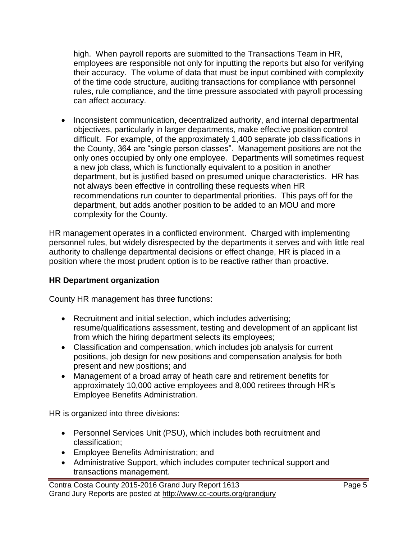high. When payroll reports are submitted to the Transactions Team in HR, employees are responsible not only for inputting the reports but also for verifying their accuracy. The volume of data that must be input combined with complexity of the time code structure, auditing transactions for compliance with personnel rules, rule compliance, and the time pressure associated with payroll processing can affect accuracy.

• Inconsistent communication, decentralized authority, and internal departmental objectives, particularly in larger departments, make effective position control difficult. For example, of the approximately 1,400 separate job classifications in the County, 364 are "single person classes". Management positions are not the only ones occupied by only one employee. Departments will sometimes request a new job class, which is functionally equivalent to a position in another department, but is justified based on presumed unique characteristics. HR has not always been effective in controlling these requests when HR recommendations run counter to departmental priorities. This pays off for the department, but adds another position to be added to an MOU and more complexity for the County.

HR management operates in a conflicted environment. Charged with implementing personnel rules, but widely disrespected by the departments it serves and with little real authority to challenge departmental decisions or effect change, HR is placed in a position where the most prudent option is to be reactive rather than proactive.

#### **HR Department organization**

County HR management has three functions:

- Recruitment and initial selection, which includes advertising; resume/qualifications assessment, testing and development of an applicant list from which the hiring department selects its employees;
- Classification and compensation, which includes job analysis for current positions, job design for new positions and compensation analysis for both present and new positions; and
- Management of a broad array of heath care and retirement benefits for approximately 10,000 active employees and 8,000 retirees through HR's Employee Benefits Administration.

HR is organized into three divisions:

- Personnel Services Unit (PSU), which includes both recruitment and classification;
- Employee Benefits Administration; and
- Administrative Support, which includes computer technical support and transactions management.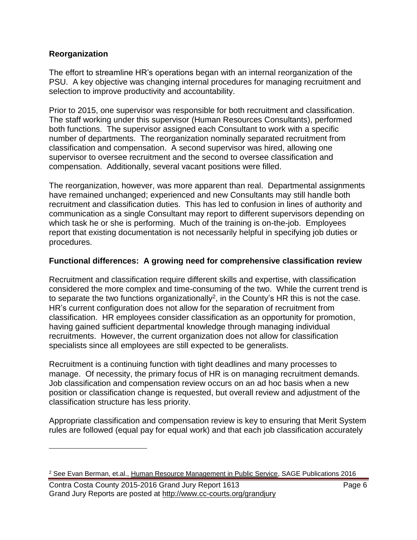#### **Reorganization**

 $\overline{a}$ 

The effort to streamline HR's operations began with an internal reorganization of the PSU. A key objective was changing internal procedures for managing recruitment and selection to improve productivity and accountability.

Prior to 2015, one supervisor was responsible for both recruitment and classification. The staff working under this supervisor (Human Resources Consultants), performed both functions. The supervisor assigned each Consultant to work with a specific number of departments. The reorganization nominally separated recruitment from classification and compensation. A second supervisor was hired, allowing one supervisor to oversee recruitment and the second to oversee classification and compensation. Additionally, several vacant positions were filled.

The reorganization, however, was more apparent than real. Departmental assignments have remained unchanged; experienced and new Consultants may still handle both recruitment and classification duties. This has led to confusion in lines of authority and communication as a single Consultant may report to different supervisors depending on which task he or she is performing. Much of the training is on-the-job. Employees report that existing documentation is not necessarily helpful in specifying job duties or procedures.

#### **Functional differences: A growing need for comprehensive classification review**

Recruitment and classification require different skills and expertise, with classification considered the more complex and time-consuming of the two. While the current trend is to separate the two functions organizationally<sup>2</sup>, in the County's HR this is not the case. HR's current configuration does not allow for the separation of recruitment from classification. HR employees consider classification as an opportunity for promotion, having gained sufficient departmental knowledge through managing individual recruitments. However, the current organization does not allow for classification specialists since all employees are still expected to be generalists.

Recruitment is a continuing function with tight deadlines and many processes to manage. Of necessity, the primary focus of HR is on managing recruitment demands. Job classification and compensation review occurs on an ad hoc basis when a new position or classification change is requested, but overall review and adjustment of the classification structure has less priority.

Appropriate classification and compensation review is key to ensuring that Merit System rules are followed (equal pay for equal work) and that each job classification accurately

<sup>2</sup> See Evan Berman, et.al., Human Resource Management in Public Service, SAGE Publications 2016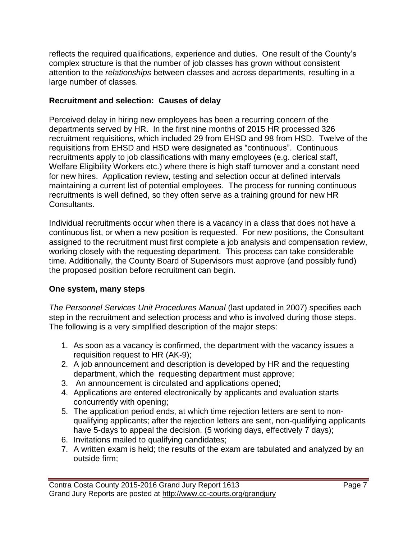reflects the required qualifications, experience and duties. One result of the County's complex structure is that the number of job classes has grown without consistent attention to the *relationships* between classes and across departments, resulting in a large number of classes.

#### **Recruitment and selection: Causes of delay**

Perceived delay in hiring new employees has been a recurring concern of the departments served by HR. In the first nine months of 2015 HR processed 326 recruitment requisitions, which included 29 from EHSD and 98 from HSD. Twelve of the requisitions from EHSD and HSD were designated as "continuous". Continuous recruitments apply to job classifications with many employees (e.g. clerical staff, Welfare Eligibility Workers etc.) where there is high staff turnover and a constant need for new hires. Application review, testing and selection occur at defined intervals maintaining a current list of potential employees. The process for running continuous recruitments is well defined, so they often serve as a training ground for new HR Consultants.

Individual recruitments occur when there is a vacancy in a class that does not have a continuous list, or when a new position is requested. For new positions, the Consultant assigned to the recruitment must first complete a job analysis and compensation review, working closely with the requesting department. This process can take considerable time. Additionally, the County Board of Supervisors must approve (and possibly fund) the proposed position before recruitment can begin.

#### **One system, many steps**

*The Personnel Services Unit Procedures Manual* (last updated in 2007) specifies each step in the recruitment and selection process and who is involved during those steps. The following is a very simplified description of the major steps:

- 1. As soon as a vacancy is confirmed, the department with the vacancy issues a requisition request to HR (AK-9);
- 2. A job announcement and description is developed by HR and the requesting department, which the requesting department must approve;
- 3. An announcement is circulated and applications opened;
- 4. Applications are entered electronically by applicants and evaluation starts concurrently with opening;
- 5. The application period ends, at which time rejection letters are sent to nonqualifying applicants; after the rejection letters are sent, non-qualifying applicants have 5-days to appeal the decision. (5 working days, effectively 7 days);
- 6. Invitations mailed to qualifying candidates;
- 7. A written exam is held; the results of the exam are tabulated and analyzed by an outside firm;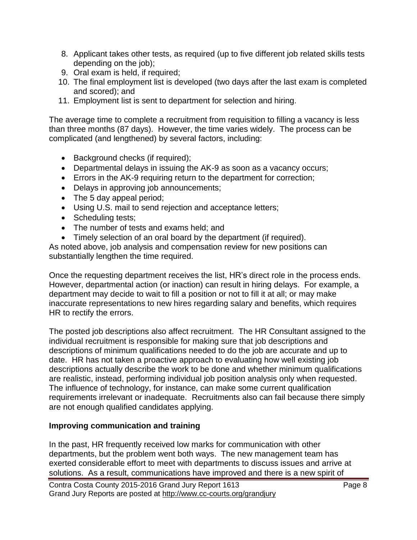- 8. Applicant takes other tests, as required (up to five different job related skills tests depending on the job);
- 9. Oral exam is held, if required;
- 10. The final employment list is developed (two days after the last exam is completed and scored); and
- 11. Employment list is sent to department for selection and hiring.

The average time to complete a recruitment from requisition to filling a vacancy is less than three months (87 days). However, the time varies widely. The process can be complicated (and lengthened) by several factors, including:

- Background checks (if required);
- Departmental delays in issuing the AK-9 as soon as a vacancy occurs;
- Errors in the AK-9 requiring return to the department for correction;
- Delays in approving job announcements;
- The 5 day appeal period;
- Using U.S. mail to send rejection and acceptance letters;
- Scheduling tests;
- The number of tests and exams held; and
- Timely selection of an oral board by the department (if required).

As noted above, job analysis and compensation review for new positions can substantially lengthen the time required.

Once the requesting department receives the list, HR's direct role in the process ends. However, departmental action (or inaction) can result in hiring delays. For example, a department may decide to wait to fill a position or not to fill it at all; or may make inaccurate representations to new hires regarding salary and benefits, which requires HR to rectify the errors.

The posted job descriptions also affect recruitment. The HR Consultant assigned to the individual recruitment is responsible for making sure that job descriptions and descriptions of minimum qualifications needed to do the job are accurate and up to date. HR has not taken a proactive approach to evaluating how well existing job descriptions actually describe the work to be done and whether minimum qualifications are realistic, instead, performing individual job position analysis only when requested. The influence of technology, for instance, can make some current qualification requirements irrelevant or inadequate. Recruitments also can fail because there simply are not enough qualified candidates applying.

#### **Improving communication and training**

In the past, HR frequently received low marks for communication with other departments, but the problem went both ways. The new management team has exerted considerable effort to meet with departments to discuss issues and arrive at solutions. As a result, communications have improved and there is a new spirit of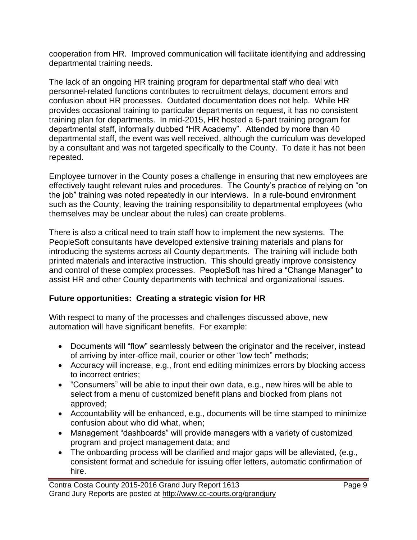cooperation from HR. Improved communication will facilitate identifying and addressing departmental training needs.

The lack of an ongoing HR training program for departmental staff who deal with personnel-related functions contributes to recruitment delays, document errors and confusion about HR processes. Outdated documentation does not help. While HR provides occasional training to particular departments on request, it has no consistent training plan for departments. In mid-2015, HR hosted a 6-part training program for departmental staff, informally dubbed "HR Academy". Attended by more than 40 departmental staff, the event was well received, although the curriculum was developed by a consultant and was not targeted specifically to the County. To date it has not been repeated.

Employee turnover in the County poses a challenge in ensuring that new employees are effectively taught relevant rules and procedures. The County's practice of relying on "on the job" training was noted repeatedly in our interviews. In a rule-bound environment such as the County, leaving the training responsibility to departmental employees (who themselves may be unclear about the rules) can create problems.

There is also a critical need to train staff how to implement the new systems. The PeopleSoft consultants have developed extensive training materials and plans for introducing the systems across all County departments. The training will include both printed materials and interactive instruction. This should greatly improve consistency and control of these complex processes. PeopleSoft has hired a "Change Manager" to assist HR and other County departments with technical and organizational issues.

#### **Future opportunities: Creating a strategic vision for HR**

With respect to many of the processes and challenges discussed above, new automation will have significant benefits. For example:

- Documents will "flow" seamlessly between the originator and the receiver, instead of arriving by inter-office mail, courier or other "low tech" methods;
- Accuracy will increase, e.g., front end editing minimizes errors by blocking access to incorrect entries;
- "Consumers" will be able to input their own data, e.g., new hires will be able to select from a menu of customized benefit plans and blocked from plans not approved;
- Accountability will be enhanced, e.g., documents will be time stamped to minimize confusion about who did what, when;
- Management "dashboards" will provide managers with a variety of customized program and project management data; and
- The onboarding process will be clarified and major gaps will be alleviated, (e.g., consistent format and schedule for issuing offer letters, automatic confirmation of hire.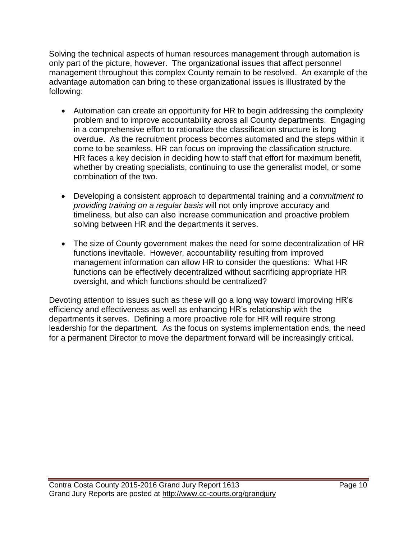Solving the technical aspects of human resources management through automation is only part of the picture, however. The organizational issues that affect personnel management throughout this complex County remain to be resolved. An example of the advantage automation can bring to these organizational issues is illustrated by the following:

- Automation can create an opportunity for HR to begin addressing the complexity problem and to improve accountability across all County departments. Engaging in a comprehensive effort to rationalize the classification structure is long overdue. As the recruitment process becomes automated and the steps within it come to be seamless, HR can focus on improving the classification structure. HR faces a key decision in deciding how to staff that effort for maximum benefit, whether by creating specialists, continuing to use the generalist model, or some combination of the two.
- Developing a consistent approach to departmental training and *a commitment to providing training on a regular basis* will not only improve accuracy and timeliness, but also can also increase communication and proactive problem solving between HR and the departments it serves.
- The size of County government makes the need for some decentralization of HR functions inevitable. However, accountability resulting from improved management information can allow HR to consider the questions: What HR functions can be effectively decentralized without sacrificing appropriate HR oversight, and which functions should be centralized?

Devoting attention to issues such as these will go a long way toward improving HR's efficiency and effectiveness as well as enhancing HR's relationship with the departments it serves. Defining a more proactive role for HR will require strong leadership for the department. As the focus on systems implementation ends, the need for a permanent Director to move the department forward will be increasingly critical.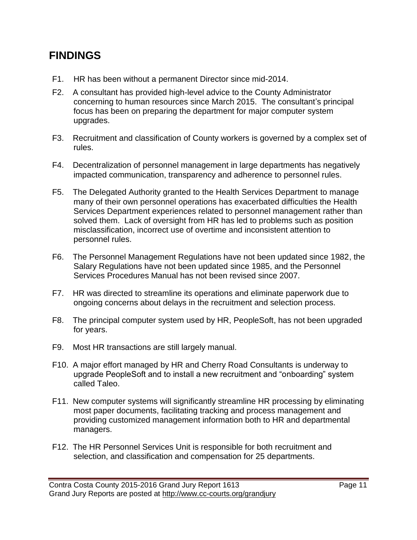# **FINDINGS**

- F1. HR has been without a permanent Director since mid-2014.
- F2. A consultant has provided high-level advice to the County Administrator concerning to human resources since March 2015. The consultant's principal focus has been on preparing the department for major computer system upgrades.
- F3. Recruitment and classification of County workers is governed by a complex set of rules.
- F4. Decentralization of personnel management in large departments has negatively impacted communication, transparency and adherence to personnel rules.
- F5. The Delegated Authority granted to the Health Services Department to manage many of their own personnel operations has exacerbated difficulties the Health Services Department experiences related to personnel management rather than solved them. Lack of oversight from HR has led to problems such as position misclassification, incorrect use of overtime and inconsistent attention to personnel rules.
- F6. The Personnel Management Regulations have not been updated since 1982, the Salary Regulations have not been updated since 1985, and the Personnel Services Procedures Manual has not been revised since 2007.
- F7. HR was directed to streamline its operations and eliminate paperwork due to ongoing concerns about delays in the recruitment and selection process.
- F8. The principal computer system used by HR, PeopleSoft, has not been upgraded for years.
- F9. Most HR transactions are still largely manual.
- F10. A major effort managed by HR and Cherry Road Consultants is underway to upgrade PeopleSoft and to install a new recruitment and "onboarding" system called Taleo.
- F11. New computer systems will significantly streamline HR processing by eliminating most paper documents, facilitating tracking and process management and providing customized management information both to HR and departmental managers.
- F12. The HR Personnel Services Unit is responsible for both recruitment and selection, and classification and compensation for 25 departments.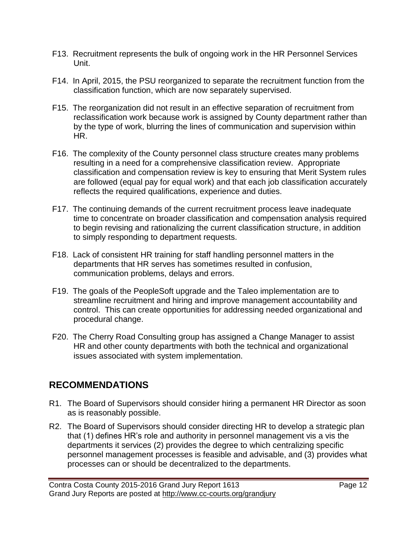- F13. Recruitment represents the bulk of ongoing work in the HR Personnel Services Unit.
- F14. In April, 2015, the PSU reorganized to separate the recruitment function from the classification function, which are now separately supervised.
- F15. The reorganization did not result in an effective separation of recruitment from reclassification work because work is assigned by County department rather than by the type of work, blurring the lines of communication and supervision within HR.
- F16. The complexity of the County personnel class structure creates many problems resulting in a need for a comprehensive classification review. Appropriate classification and compensation review is key to ensuring that Merit System rules are followed (equal pay for equal work) and that each job classification accurately reflects the required qualifications, experience and duties.
- F17. The continuing demands of the current recruitment process leave inadequate time to concentrate on broader classification and compensation analysis required to begin revising and rationalizing the current classification structure, in addition to simply responding to department requests.
- F18. Lack of consistent HR training for staff handling personnel matters in the departments that HR serves has sometimes resulted in confusion, communication problems, delays and errors.
- F19. The goals of the PeopleSoft upgrade and the Taleo implementation are to streamline recruitment and hiring and improve management accountability and control. This can create opportunities for addressing needed organizational and procedural change.
- F20. The Cherry Road Consulting group has assigned a Change Manager to assist HR and other county departments with both the technical and organizational issues associated with system implementation.

# **RECOMMENDATIONS**

- R1. The Board of Supervisors should consider hiring a permanent HR Director as soon as is reasonably possible.
- R2. The Board of Supervisors should consider directing HR to develop a strategic plan that (1) defines HR's role and authority in personnel management vis a vis the departments it services (2) provides the degree to which centralizing specific personnel management processes is feasible and advisable, and (3) provides what processes can or should be decentralized to the departments.